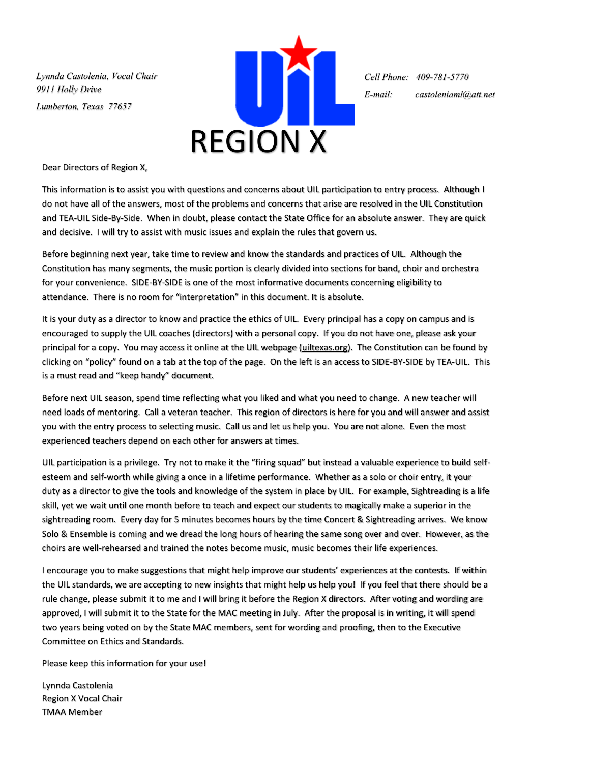*Lynnda Castolenia, Vocal Chair 9911 Holly Drive Lumberton, Texas 77657*



*Cell Phone: 409-781-5770 E-mail: castoleniaml@att.net*

Dear Directors of Region X,

This information is to assist you with questions and concerns about UIL participation to entry process. Although I do not have all of the answers, most of the problems and concerns that arise are resolved in the UIL Constitution and TEA-UIL Side-By-Side. When in doubt, please contact the State Office for an absolute answer. They are quick and decisive. I will try to assist with music issues and explain the rules that govern us.

Before beginning next year, take time to review and know the standards and practices of UIL. Although the Constitution has many segments, the music portion is clearly divided into sections for band, choir and orchestra for your convenience. SIDE-BY-SIDE is one of the most informative documents concerning eligibility to attendance. There is no room for "interpretation" in this document. It is absolute.

It is your duty as a director to know and practice the ethics of UIL. Every principal has a copy on campus and is encouraged to supply the UIL coaches (directors) with a personal copy. If you do not have one, please ask your principal for a copy. You may access it online at the UIL webpage (uiltexas.org). The Constitution can be found by clicking on "policy" found on a tab at the top of the page. On the left is an access to SIDE-BY-SIDE by TEA-UIL. This is a must read and "keep handy" document.

Before next UIL season, spend time reflecting what you liked and what you need to change. A new teacher will need loads of mentoring. Call a veteran teacher. This region of directors is here for you and will answer and assist you with the entry process to selecting music. Call us and let us help you. You are not alone. Even the most experienced teachers depend on each other for answers at times.

UIL participation is a privilege. Try not to make it the "firing squad" but instead a valuable experience to build selfesteem and self-worth while giving a once in a lifetime performance. Whether as a solo or choir entry, it your duty as a director to give the tools and knowledge of the system in place by UIL. For example, Sightreading is a life skill, yet we wait until one month before to teach and expect our students to magically make a superior in the sightreading room. Every day for 5 minutes becomes hours by the time Concert & Sightreading arrives. We know Solo & Ensemble is coming and we dread the long hours of hearing the same song over and over. However, as the choirs are well-rehearsed and trained the notes become music, music becomes their life experiences.

I encourage you to make suggestions that might help improve our students' experiences at the contests. If within the UIL standards, we are accepting to new insights that might help us help you! If you feel that there should be a rule change, please submit it to me and I will bring it before the Region X directors. After voting and wording are approved, I will submit it to the State for the MAC meeting in July. After the proposal is in writing, it will spend two years being voted on by the State MAC members, sent for wording and proofing, then to the Executive Committee on Ethics and Standards.

Please keep this information for your use!

Lynnda Castolenia Region X Vocal Chair TMAA Member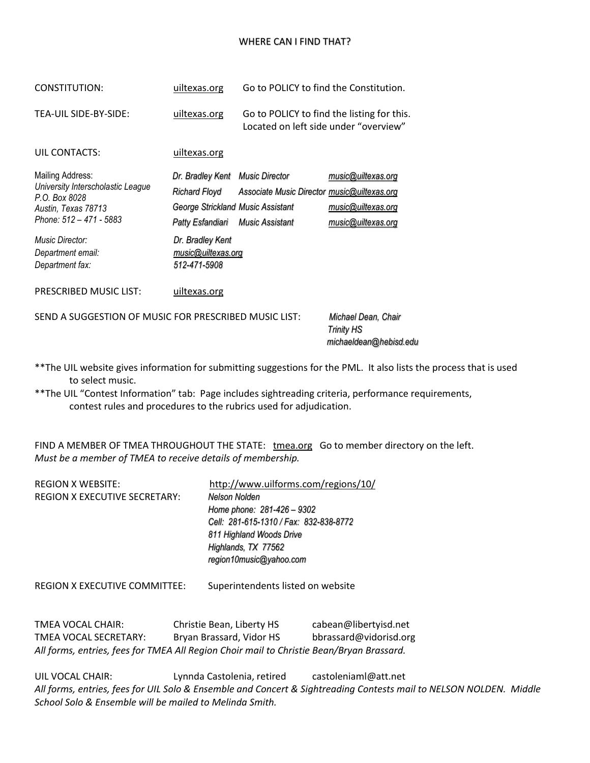## WHERE CAN I FIND THAT?

| CONSTITUTION:                                                                                                            | uiltexas.org                                                                                              | Go to POLICY to find the Constitution.                         |                                                                    |
|--------------------------------------------------------------------------------------------------------------------------|-----------------------------------------------------------------------------------------------------------|----------------------------------------------------------------|--------------------------------------------------------------------|
| TEA-UIL SIDE-BY-SIDE:                                                                                                    | uiltexas.org                                                                                              | Located on left side under "overview"                          | Go to POLICY to find the listing for this.                         |
| UIL CONTACTS:                                                                                                            | uiltexas.org                                                                                              |                                                                |                                                                    |
| Mailing Address:<br>University Interscholastic League<br>P.O. Box 8028<br>Austin, Texas 78713<br>Phone: 512 - 471 - 5883 | Dr. Bradley Kent Music Director<br>Richard Floyd<br>George Strickland Music Assistant<br>Patty Esfandiari | Associate Music Director music@uiltexas.org<br>Music Assistant | music@uiltexas.org<br>music@uiltexas.org<br>music@uiltexas.org     |
| <b>Music Director:</b><br>Department email:<br>Department fax:                                                           | Dr. Bradley Kent<br>music@uiltexas.org<br>512-471-5908                                                    |                                                                |                                                                    |
| PRESCRIBED MUSIC LIST:                                                                                                   | uiltexas.org                                                                                              |                                                                |                                                                    |
| SEND A SUGGESTION OF MUSIC FOR PRESCRIBED MUSIC LIST:                                                                    |                                                                                                           |                                                                | Michael Dean, Chair<br><b>Trinity HS</b><br>michaeldean@hebisd.edu |

- \*\*The UIL website gives information for submitting suggestions for the PML. It also lists the process that is used to select music.
- \*\*The UIL "Contest Information" tab: Page includes sightreading criteria, performance requirements, contest rules and procedures to the rubrics used for adjudication.

FIND A MEMBER OF TMEA THROUGHOUT THE STATE: tmea.org Go to member directory on the left. *Must be a member of TMEA to receive details of membership.*

| <b>REGION X WEBSITE:</b>             | http://www.uilforms.com/regions/10/    |
|--------------------------------------|----------------------------------------|
| <b>REGION X EXECUTIVE SECRETARY:</b> | Nelson Nolden                          |
|                                      | Home phone: 281-426 - 9302             |
|                                      | Cell: 281-615-1310 / Fax: 832-838-8772 |
|                                      | 811 Highland Woods Drive               |
|                                      | Highlands, TX 77562                    |
|                                      | region10music@yahoo.com                |
|                                      |                                        |

REGION X EXECUTIVE COMMITTEE: Superintendents listed on website

TMEA VOCAL CHAIR: Christie Bean, Liberty HS cabean@libertyisd.net TMEA VOCAL SECRETARY: Bryan Brassard, Vidor HS bbrassard@vidorisd.org *All forms, entries, fees for TMEA All Region Choir mail to Christie Bean/Bryan Brassard.*

UIL VOCAL CHAIR: Lynnda Castolenia, retired castoleniaml@att.net *All forms, entries, fees for UIL Solo & Ensemble and Concert & Sightreading Contests mail to NELSON NOLDEN. Middle School Solo & Ensemble will be mailed to Melinda Smith.*